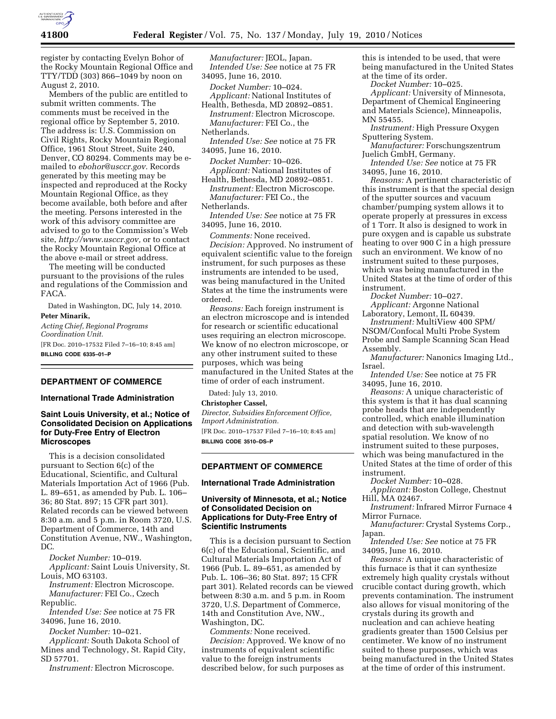

register by contacting Evelyn Bohor of the Rocky Mountain Regional Office and TTY/TDD (303) 866–1049 by noon on August 2, 2010.

Members of the public are entitled to submit written comments. The comments must be received in the regional office by September 5, 2010. The address is: U.S. Commission on Civil Rights, Rocky Mountain Regional Office, 1961 Stout Street, Suite 240, Denver, CO 80294. Comments may be emailed to *ebohor@usccr.gov.* Records generated by this meeting may be inspected and reproduced at the Rocky Mountain Regional Office, as they become available, both before and after the meeting. Persons interested in the work of this advisory committee are advised to go to the Commission's Web site, *http://www.usccr.gov,* or to contact the Rocky Mountain Regional Office at the above e-mail or street address.

The meeting will be conducted pursuant to the provisions of the rules and regulations of the Commission and FACA.

Dated in Washington, DC, July 14, 2010. **Peter Minarik,** 

*Acting Chief, Regional Programs Coordination Unit.*  [FR Doc. 2010–17532 Filed 7–16–10; 8:45 am]

**BILLING CODE 6335–01–P** 

## **DEPARTMENT OF COMMERCE**

## **International Trade Administration**

# **Saint Louis University, et al.; Notice of Consolidated Decision on Applications for Duty-Free Entry of Electron Microscopes**

This is a decision consolidated pursuant to Section 6(c) of the Educational, Scientific, and Cultural Materials Importation Act of 1966 (Pub. L. 89–651, as amended by Pub. L. 106– 36; 80 Stat. 897; 15 CFR part 301). Related records can be viewed between 8:30 a.m. and 5 p.m. in Room 3720, U.S. Department of Commerce, 14th and Constitution Avenue, NW., Washington, DC.

*Docket Number:* 10–019.

*Applicant:* Saint Louis University, St. Louis, MO 63103.

*Instrument:* Electron Microscope. *Manufacturer:* FEI Co., Czech Republic.

*Intended Use: See* notice at 75 FR 34096, June 16, 2010.

*Docket Number:* 10–021.

*Applicant:* South Dakota School of Mines and Technology, St. Rapid City, SD 57701.

*Instrument:* Electron Microscope.

*Manufacturer:* JEOL, Japan. *Intended Use: See* notice at 75 FR 34095, June 16, 2010.

*Docket Number:* 10–024.

*Applicant:* National Institutes of Health, Bethesda, MD 20892–0851.

*Instrument:* Electron Microscope. *Manufacturer:* FEI Co., the Netherlands.

*Intended Use: See* notice at 75 FR 34095, June 16, 2010.

*Docket Number:* 10–026. *Applicant:* National Institutes of

Health, Bethesda, MD 20892–0851. *Instrument:* Electron Microscope. *Manufacturer:* FEI Co., the

Netherlands.

*Intended Use: See* notice at 75 FR 34095, June 16, 2010.

*Comments:* None received.

*Decision:* Approved. No instrument of equivalent scientific value to the foreign instrument, for such purposes as these instruments are intended to be used, was being manufactured in the United States at the time the instruments were ordered.

*Reasons:* Each foreign instrument is an electron microscope and is intended for research or scientific educational uses requiring an electron microscope. We know of no electron microscope, or any other instrument suited to these purposes, which was being manufactured in the United States at the time of order of each instrument.

Dated: July 13, 2010.

**Christopher Cassel,** 

*Director, Subsidies Enforcement Office, Import Administration.*  [FR Doc. 2010–17537 Filed 7–16–10; 8:45 am] **BILLING CODE 3510–DS–P** 

### **DEPARTMENT OF COMMERCE**

#### **International Trade Administration**

## **University of Minnesota, et al.; Notice of Consolidated Decision on Applications for Duty-Free Entry of Scientific Instruments**

This is a decision pursuant to Section 6(c) of the Educational, Scientific, and Cultural Materials Importation Act of 1966 (Pub. L. 89–651, as amended by Pub. L. 106–36; 80 Stat. 897; 15 CFR part 301). Related records can be viewed between 8:30 a.m. and 5 p.m. in Room 3720, U.S. Department of Commerce, 14th and Constitution Ave, NW., Washington, DC.

*Comments:* None received. *Decision:* Approved. We know of no instruments of equivalent scientific value to the foreign instruments described below, for such purposes as

this is intended to be used, that were being manufactured in the United States at the time of its order.

*Docket Number:* 10–025.

*Applicant:* University of Minnesota, Department of Chemical Engineering and Materials Science), Minneapolis, MN 55455.

*Instrument:* High Pressure Oxygen Sputtering System.

*Manufacturer:* Forschungszentrum Juelich GmbH, Germany.

*Intended Use: See* notice at 75 FR 34095, June 16, 2010.

*Reasons:* A pertinent characteristic of this instrument is that the special design of the sputter sources and vacuum chamber/pumping system allows it to operate properly at pressures in excess of 1 Torr. It also is designed to work in pure oxygen and is capable us substrate heating to over 900 C in a high pressure such an environment. We know of no instrument suited to these purposes, which was being manufactured in the United States at the time of order of this instrument.

*Docket Number:* 10–027. *Applicant:* Argonne National

Laboratory, Lemont, IL 60439. *Instrument:* MultiView 400 SPM/

NSOM/Confocal Multi Probe System Probe and Sample Scanning Scan Head Assembly.

*Manufacturer:* Nanonics Imaging Ltd., Israel.

*Intended Use:* See notice at 75 FR 34095, June 16, 2010.

*Reasons:* A unique characteristic of this system is that it has dual scanning probe heads that are independently controlled, which enable illumination and detection with sub-wavelength spatial resolution. We know of no instrument suited to these purposes, which was being manufactured in the United States at the time of order of this instrument.

*Docket Number:* 10–028. *Applicant:* Boston College, Chestnut Hill, MA 02467.

*Instrument:* Infrared Mirror Furnace 4 Mirror Furnace.

*Manufacturer:* Crystal Systems Corp., Japan.

*Intended Use: See* notice at 75 FR 34095, June 16, 2010.

*Reasons:* A unique characteristic of this furnace is that it can synthesize extremely high quality crystals without crucible contact during growth, which prevents contamination. The instrument also allows for visual monitoring of the crystals during its growth and nucleation and can achieve heating gradients greater than 1500 Celsius per centimeter. We know of no instrument suited to these purposes, which was being manufactured in the United States at the time of order of this instrument.